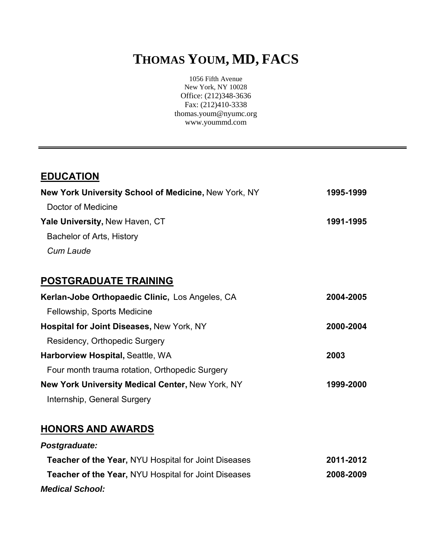# **THOMAS YOUM, MD, FACS**

1056 Fifth Avenue New York, NY 10028 Office: (212)348-3636 Fax: (212)410-3338 thomas.youm@nyumc.org www.yoummd.com

| <b>EDUCATION</b>                                     |           |
|------------------------------------------------------|-----------|
| New York University School of Medicine, New York, NY | 1995-1999 |
| Doctor of Medicine                                   |           |
| Yale University, New Haven, CT                       | 1991-1995 |
| Bachelor of Arts, History                            |           |
| Cum Laude                                            |           |
|                                                      |           |
| <b>POSTGRADUATE TRAINING</b>                         |           |
| Kerlan-Jobe Orthopaedic Clinic, Los Angeles, CA      | 2004-2005 |
| Fellowship, Sports Medicine                          |           |
| Hospital for Joint Diseases, New York, NY            | 2000-2004 |
| Residency, Orthopedic Surgery                        |           |
| Harborview Hospital, Seattle, WA                     | 2003      |
| Four month trauma rotation, Orthopedic Surgery       |           |
| New York University Medical Center, New York, NY     | 1999-2000 |
| Internship, General Surgery                          |           |
|                                                      |           |
| <b>HONORS AND AWARDS</b>                             |           |

| Postgraduate:                                               |           |
|-------------------------------------------------------------|-----------|
| <b>Teacher of the Year, NYU Hospital for Joint Diseases</b> | 2011-2012 |
| Teacher of the Year, NYU Hospital for Joint Diseases        | 2008-2009 |
| <b>Medical School:</b>                                      |           |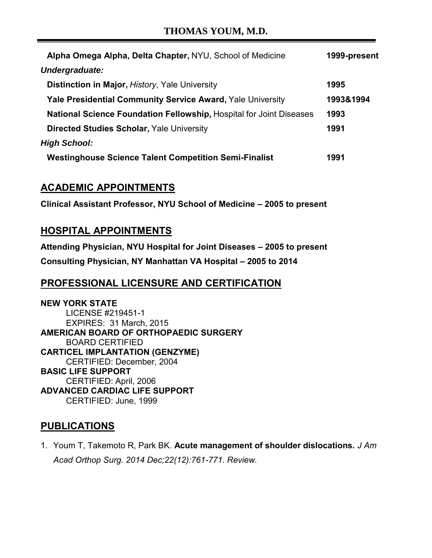### **THOMAS YOUM, M.D.**

| Alpha Omega Alpha, Delta Chapter, NYU, School of Medicine           | 1999-present |
|---------------------------------------------------------------------|--------------|
| Undergraduate:                                                      |              |
| Distinction in Major, History, Yale University                      | 1995         |
| <b>Yale Presidential Community Service Award, Yale University</b>   | 1993&1994    |
| National Science Foundation Fellowship, Hospital for Joint Diseases | 1993         |
| <b>Directed Studies Scholar, Yale University</b>                    | 1991         |
| <b>High School:</b>                                                 |              |
| <b>Westinghouse Science Talent Competition Semi-Finalist</b>        | 1991         |

## **ACADEMIC APPOINTMENTS**

**Clinical Assistant Professor, NYU School of Medicine – 2005 to present** 

#### **HOSPITAL APPOINTMENTS**

**Attending Physician, NYU Hospital for Joint Diseases – 2005 to present Consulting Physician, NY Manhattan VA Hospital – 2005 to 2014** 

## **PROFESSIONAL LICENSURE AND CERTIFICATION**

**NEW YORK STATE**  LICENSE #219451-1 EXPIRES: 31 March, 2015 **AMERICAN BOARD OF ORTHOPAEDIC SURGERY**  BOARD CERTIFIED **CARTICEL IMPLANTATION (GENZYME)**  CERTIFIED: December, 2004 **BASIC LIFE SUPPORT**  CERTIFIED: April, 2006 **ADVANCED CARDIAC LIFE SUPPORT**  CERTIFIED: June, 1999

#### **PUBLICATIONS**

1. Youm T, Takemoto R, Park BK. **Acute management of shoulder dislocations.** *J Am Acad Orthop Surg. 2014 Dec;22(12):761-771. Review.*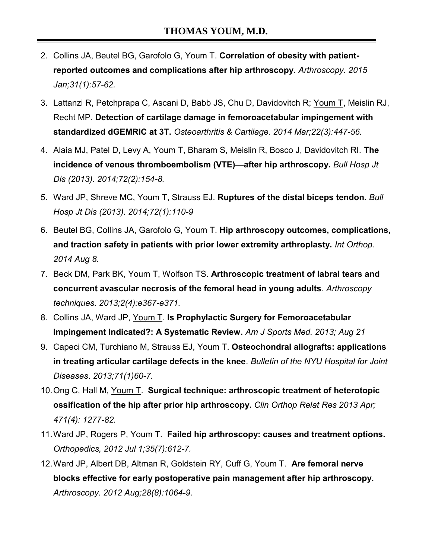- 2. Collins JA, Beutel BG, Garofolo G, Youm T. **Correlation of obesity with patientreported outcomes and complications after hip arthroscopy.** *Arthroscopy. 2015 Jan;31(1):57-62.*
- 3. Lattanzi R, Petchprapa C, Ascani D, Babb JS, Chu D, Davidovitch R; Youm T, Meislin RJ, Recht MP. **Detection of cartilage damage in femoroacetabular impingement with standardized dGEMRIC at 3T.** *Osteoarthritis & Cartilage. 2014 Mar;22(3):447-56.*
- 4. Alaia MJ, Patel D, Levy A, Youm T, Bharam S, Meislin R, Bosco J, Davidovitch RI. **The incidence of venous thromboembolism (VTE)—after hip arthroscopy.** *Bull Hosp Jt Dis (2013). 2014;72(2):154-8.*
- 5. Ward JP, Shreve MC, Youm T, Strauss EJ. **Ruptures of the distal biceps tendon.** *Bull Hosp Jt Dis (2013). 2014;72(1):110-9*
- 6. Beutel BG, Collins JA, Garofolo G, Youm T. **Hip arthroscopy outcomes, complications, and traction safety in patients with prior lower extremity arthroplasty.** *Int Orthop. 2014 Aug 8.*
- 7. Beck DM, Park BK, Youm T, Wolfson TS. **Arthroscopic treatment of labral tears and concurrent avascular necrosis of the femoral head in young adults**. *Arthroscopy techniques. 2013;2(4):e367-e371.*
- 8. Collins JA, Ward JP, Youm T. **Is Prophylactic Surgery for Femoroacetabular Impingement Indicated?: A Systematic Review.** *Am J Sports Med. 2013; Aug 21*
- 9. Capeci CM, Turchiano M, Strauss EJ, Youm T. **Osteochondral allografts: applications in treating articular cartilage defects in the knee**. *Bulletin of the NYU Hospital for Joint Diseases*. *2013;71(1)60-7.*
- 10. Ong C, Hall M, Youm T. **Surgical technique: arthroscopic treatment of heterotopic ossification of the hip after prior hip arthroscopy.** *Clin Orthop Relat Res 2013 Apr; 471(4): 1277-82.*
- 11. Ward JP, Rogers P, Youm T. **Failed hip arthroscopy: causes and treatment options.**  *Orthopedics, 2012 Jul 1;35(7):612-7.*
- 12. Ward JP, Albert DB, Altman R, Goldstein RY, Cuff G, Youm T. **Are femoral nerve blocks effective for early postoperative pain management after hip arthroscopy.**  *Arthroscopy. 2012 Aug;28(8):1064-9.*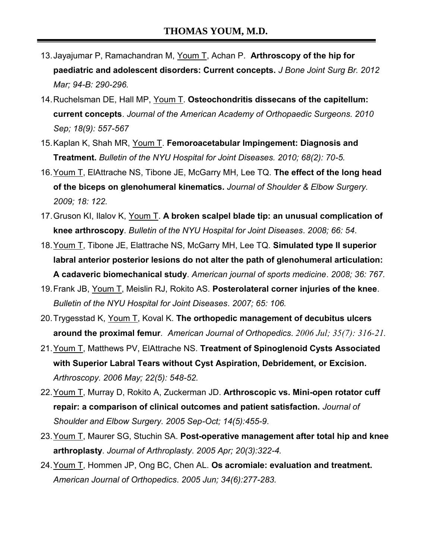- 13. Jayajumar P, Ramachandran M, Youm T, Achan P. **Arthroscopy of the hip for paediatric and adolescent disorders: Current concepts.** *J Bone Joint Surg Br. 2012 Mar; 94-B: 290-296.*
- 14. Ruchelsman DE, Hall MP, Youm T. **Osteochondritis dissecans of the capitellum: current concepts**. *Journal of the American Academy of Orthopaedic Surgeons. 2010 Sep; 18(9): 557-567*
- 15. Kaplan K, Shah MR, Youm T. **Femoroacetabular Impingement: Diagnosis and Treatment.** *Bulletin of the NYU Hospital for Joint Diseases. 2010; 68(2): 70-5.*
- 16. Youm T, ElAttrache NS, Tibone JE, McGarry MH, Lee TQ. **The effect of the long head of the biceps on glenohumeral kinematics.** *Journal of Shoulder & Elbow Surgery. 2009; 18: 122.*
- 17. Gruson KI, Ilalov K, Youm T. **A broken scalpel blade tip: an unusual complication of knee arthroscopy**. *Bulletin of the NYU Hospital for Joint Diseases*. *2008; 66: 54*.
- 18. Youm T, Tibone JE, Elattrache NS, McGarry MH, Lee TQ. **Simulated type II superior labral anterior posterior lesions do not alter the path of glenohumeral articulation: A cadaveric biomechanical study**. *American journal of sports medicine*. *2008; 36: 767.*
- 19. Frank JB, Youm T, Meislin RJ, Rokito AS. **Posterolateral corner injuries of the knee**. *Bulletin of the NYU Hospital for Joint Diseases*. *2007; 65: 106.*
- 20. Trygesstad K, Youm T, Koval K. **The orthopedic management of decubitus ulcers around the proximal femur***. American Journal of Orthopedics*. *2006 Jul; 35(7): 316-21.*
- 21. Youm T, Matthews PV, ElAttrache NS. **Treatment of Spinoglenoid Cysts Associated with Superior Labral Tears without Cyst Aspiration, Debridement, or Excision.**  *Arthroscopy. 2006 May; 22(5): 548-52.*
- 22. Youm T, Murray D, Rokito A, Zuckerman JD. **Arthroscopic vs. Mini-open rotator cuff repair: a comparison of clinical outcomes and patient satisfaction.** *Journal of Shoulder and Elbow Surgery. 2005 Sep-Oct; 14(5):455-9*.
- 23. Youm T, Maurer SG, Stuchin SA. **Post-operative management after total hip and knee arthroplasty**. *Journal of Arthroplasty*. *2005 Apr; 20(3):322-4.*
- 24. Youm T, Hommen JP, Ong BC, Chen AL. **Os acromiale: evaluation and treatment.**  *American Journal of Orthopedics*. *2005 Jun; 34(6):277-283.*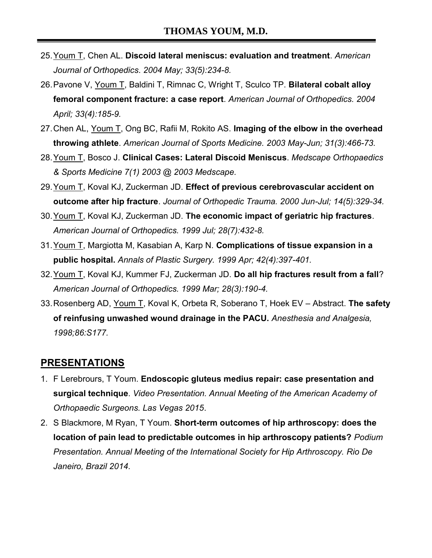- 25. Youm T, Chen AL. **Discoid lateral meniscus: evaluation and treatment**. *American Journal of Orthopedics*. *2004 May; 33(5):234-8.*
- 26. Pavone V, Youm T, Baldini T, Rimnac C, Wright T, Sculco TP. **Bilateral cobalt alloy femoral component fracture: a case report**. *American Journal of Orthopedics. 2004 April; 33(4):185-9.*
- 27. Chen AL, Youm T, Ong BC, Rafii M, Rokito AS. **Imaging of the elbow in the overhead throwing athlete**. *American Journal of Sports Medicine. 2003 May-Jun; 31(3):466-73.*
- 28. Youm T, Bosco J. **Clinical Cases: Lateral Discoid Meniscus**. *Medscape Orthopaedics & Sports Medicine 7(1) 2003 @ 2003 Medscape.*
- 29. Youm T, Koval KJ, Zuckerman JD. **Effect of previous cerebrovascular accident on outcome after hip fracture**. *Journal of Orthopedic Trauma. 2000 Jun-Jul; 14(5):329-34.*
- 30. Youm T, Koval KJ, Zuckerman JD. **The economic impact of geriatric hip fractures**. *American Journal of Orthopedics. 1999 Jul; 28(7):432-8.*
- 31. Youm T, Margiotta M, Kasabian A, Karp N. **Complications of tissue expansion in a public hospital.** *Annals of Plastic Surgery. 1999 Apr; 42(4):397-401.*
- 32. Youm T, Koval KJ, Kummer FJ, Zuckerman JD. **Do all hip fractures result from a fall**? *American Journal of Orthopedics. 1999 Mar; 28(3):190-4.*
- 33. Rosenberg AD, Youm T, Koval K, Orbeta R, Soberano T, Hoek EV Abstract. **The safety of reinfusing unwashed wound drainage in the PACU.** *Anesthesia and Analgesia, 1998;86:S177.*

## **PRESENTATIONS**

- 1. F Lerebrours, T Youm. **Endoscopic gluteus medius repair: case presentation and surgical technique**. *Video Presentation. Annual Meeting of the American Academy of Orthopaedic Surgeons. Las Vegas 2015*.
- 2. S Blackmore, M Ryan, T Youm. **Short-term outcomes of hip arthroscopy: does the location of pain lead to predictable outcomes in hip arthroscopy patients?** *Podium Presentation. Annual Meeting of the International Society for Hip Arthroscopy. Rio De Janeiro, Brazil 2014.*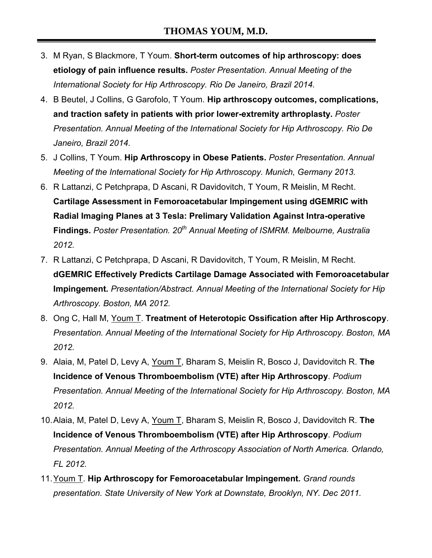- 3. M Ryan, S Blackmore, T Youm. **Short-term outcomes of hip arthroscopy: does etiology of pain influence results.** *Poster Presentation. Annual Meeting of the International Society for Hip Arthroscopy. Rio De Janeiro, Brazil 2014.*
- 4. B Beutel, J Collins, G Garofolo, T Youm. **Hip arthroscopy outcomes, complications, and traction safety in patients with prior lower-extremity arthroplasty.** *Poster Presentation. Annual Meeting of the International Society for Hip Arthroscopy. Rio De Janeiro, Brazil 2014.*
- 5. J Collins, T Youm. **Hip Arthroscopy in Obese Patients.** *Poster Presentation. Annual Meeting of the International Society for Hip Arthroscopy. Munich, Germany 2013.*
- 6. R Lattanzi, C Petchprapa, D Ascani, R Davidovitch, T Youm, R Meislin, M Recht. **Cartilage Assessment in Femoroacetabular Impingement using dGEMRIC with Radial Imaging Planes at 3 Tesla: Prelimary Validation Against Intra-operative Findings.** *Poster Presentation. 20th Annual Meeting of ISMRM. Melbourne, Australia 2012.*
- 7. R Lattanzi, C Petchprapa, D Ascani, R Davidovitch, T Youm, R Meislin, M Recht. **dGEMRIC Effectively Predicts Cartilage Damage Associated with Femoroacetabular Impingement.** *Presentation/Abstract. Annual Meeting of the International Society for Hip Arthroscopy. Boston, MA 2012.*
- 8. Ong C, Hall M, Youm T. **Treatment of Heterotopic Ossification after Hip Arthroscopy**. *Presentation. Annual Meeting of the International Society for Hip Arthroscopy. Boston, MA 2012.*
- 9. Alaia, M, Patel D, Levy A, Youm T, Bharam S, Meislin R, Bosco J, Davidovitch R. **The Incidence of Venous Thromboembolism (VTE) after Hip Arthroscopy**. *Podium Presentation. Annual Meeting of the International Society for Hip Arthroscopy. Boston, MA 2012.*
- 10. Alaia, M, Patel D, Levy A, Youm T, Bharam S, Meislin R, Bosco J, Davidovitch R. **The Incidence of Venous Thromboembolism (VTE) after Hip Arthroscopy**. *Podium Presentation. Annual Meeting of the Arthroscopy Association of North America. Orlando, FL 2012.*
- 11. Youm T. **Hip Arthroscopy for Femoroacetabular Impingement.** *Grand rounds presentation. State University of New York at Downstate, Brooklyn, NY. Dec 2011.*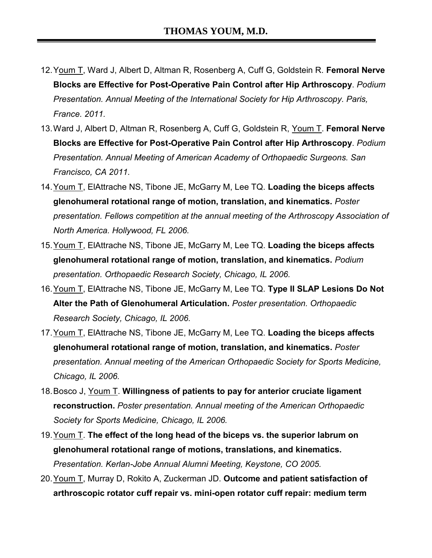- 12. Youm T, Ward J, Albert D, Altman R, Rosenberg A, Cuff G, Goldstein R. **Femoral Nerve Blocks are Effective for Post-Operative Pain Control after Hip Arthroscopy**. *Podium Presentation. Annual Meeting of the International Society for Hip Arthroscopy. Paris, France. 2011.*
- 13. Ward J, Albert D, Altman R, Rosenberg A, Cuff G, Goldstein R, Youm T. **Femoral Nerve Blocks are Effective for Post-Operative Pain Control after Hip Arthroscopy**. *Podium Presentation. Annual Meeting of American Academy of Orthopaedic Surgeons. San Francisco, CA 2011.*
- 14. Youm T, ElAttrache NS, Tibone JE, McGarry M, Lee TQ. **Loading the biceps affects glenohumeral rotational range of motion, translation, and kinematics.** *Poster presentation. Fellows competition at the annual meeting of the Arthroscopy Association of North America. Hollywood, FL 2006.*
- 15. Youm T, ElAttrache NS, Tibone JE, McGarry M, Lee TQ. **Loading the biceps affects glenohumeral rotational range of motion, translation, and kinematics.** *Podium presentation. Orthopaedic Research Society, Chicago, IL 2006.*
- 16. Youm T, ElAttrache NS, Tibone JE, McGarry M, Lee TQ. **Type II SLAP Lesions Do Not Alter the Path of Glenohumeral Articulation.** *Poster presentation. Orthopaedic Research Society, Chicago, IL 2006.*
- 17. Youm T, ElAttrache NS, Tibone JE, McGarry M, Lee TQ. **Loading the biceps affects glenohumeral rotational range of motion, translation, and kinematics.** *Poster presentation. Annual meeting of the American Orthopaedic Society for Sports Medicine, Chicago, IL 2006.*
- 18. Bosco J, Youm T. **Willingness of patients to pay for anterior cruciate ligament reconstruction.** *Poster presentation. Annual meeting of the American Orthopaedic Society for Sports Medicine, Chicago, IL 2006.*
- 19. Youm T. **The effect of the long head of the biceps vs. the superior labrum on glenohumeral rotational range of motions, translations, and kinematics.**  *Presentation. Kerlan-Jobe Annual Alumni Meeting, Keystone, CO 2005.*
- 20. Youm T, Murray D, Rokito A, Zuckerman JD. **Outcome and patient satisfaction of arthroscopic rotator cuff repair vs. mini-open rotator cuff repair: medium term**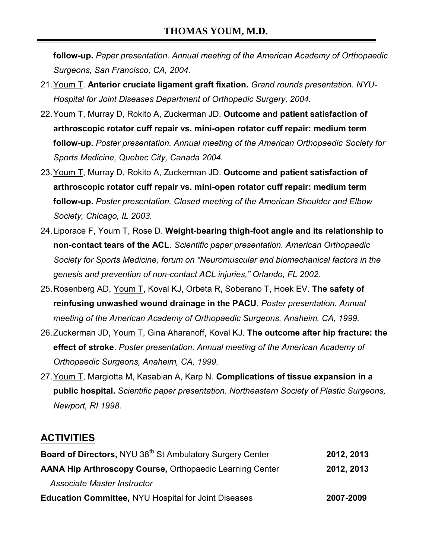**follow-up.** *Paper presentation. Annual meeting of the American Academy of Orthopaedic Surgeons, San Francisco, CA, 2004.*

- 21. Youm T. **Anterior cruciate ligament graft fixation.** *Grand rounds presentation. NYU-Hospital for Joint Diseases Department of Orthopedic Surgery, 2004.*
- 22. Youm T, Murray D, Rokito A, Zuckerman JD. **Outcome and patient satisfaction of arthroscopic rotator cuff repair vs. mini-open rotator cuff repair: medium term follow-up.** *Poster presentation. Annual meeting of the American Orthopaedic Society for Sports Medicine, Quebec City, Canada 2004.*
- 23. Youm T, Murray D, Rokito A, Zuckerman JD. **Outcome and patient satisfaction of arthroscopic rotator cuff repair vs. mini-open rotator cuff repair: medium term follow-up.** *Poster presentation. Closed meeting of the American Shoulder and Elbow Society, Chicago, IL 2003.*
- 24. Liporace F, Youm T, Rose D. **Weight-bearing thigh-foot angle and its relationship to non-contact tears of the ACL***. Scientific paper presentation. American Orthopaedic Society for Sports Medicine, forum on "Neuromuscular and biomechanical factors in the genesis and prevention of non-contact ACL injuries," Orlando, FL 2002.*
- 25. Rosenberg AD, Youm T, Koval KJ, Orbeta R, Soberano T, Hoek EV. **The safety of reinfusing unwashed wound drainage in the PACU**. *Poster presentation. Annual meeting of the American Academy of Orthopaedic Surgeons, Anaheim, CA, 1999.*
- 26. Zuckerman JD, Youm T, Gina Aharanoff, Koval KJ. **The outcome after hip fracture: the effect of stroke**. *Poster presentation. Annual meeting of the American Academy of Orthopaedic Surgeons, Anaheim, CA, 1999.*
- 27. Youm T, Margiotta M, Kasabian A, Karp N. **Complications of tissue expansion in a public hospital.** *Scientific paper presentation. Northeastern Society of Plastic Surgeons, Newport, RI 1998.*

## **ACTIVITIES**

| Board of Directors, NYU 38 <sup>th</sup> St Ambulatory Surgery Center | 2012, 2013 |
|-----------------------------------------------------------------------|------------|
| <b>AANA Hip Arthroscopy Course, Orthopaedic Learning Center</b>       | 2012, 2013 |
| Associate Master Instructor                                           |            |
| <b>Education Committee, NYU Hospital for Joint Diseases</b>           | 2007-2009  |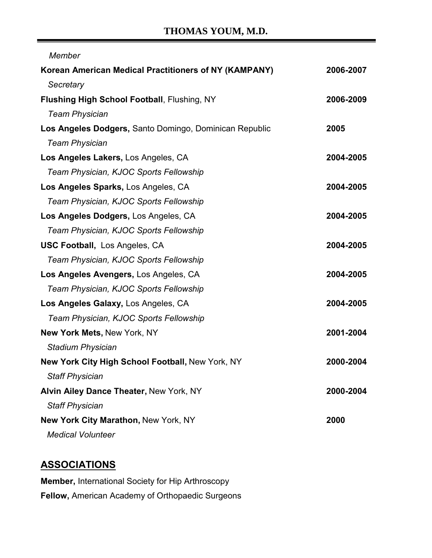# **THOMAS YOUM, M.D.**

| Member                                                 |           |
|--------------------------------------------------------|-----------|
| Korean American Medical Practitioners of NY (KAMPANY)  | 2006-2007 |
| Secretary                                              |           |
| <b>Flushing High School Football, Flushing, NY</b>     | 2006-2009 |
| <b>Team Physician</b>                                  |           |
| Los Angeles Dodgers, Santo Domingo, Dominican Republic | 2005      |
| <b>Team Physician</b>                                  |           |
| Los Angeles Lakers, Los Angeles, CA                    | 2004-2005 |
| Team Physician, KJOC Sports Fellowship                 |           |
| Los Angeles Sparks, Los Angeles, CA                    | 2004-2005 |
| Team Physician, KJOC Sports Fellowship                 |           |
| Los Angeles Dodgers, Los Angeles, CA                   | 2004-2005 |
| Team Physician, KJOC Sports Fellowship                 |           |
| <b>USC Football, Los Angeles, CA</b>                   | 2004-2005 |
| Team Physician, KJOC Sports Fellowship                 |           |
| Los Angeles Avengers, Los Angeles, CA                  | 2004-2005 |
| Team Physician, KJOC Sports Fellowship                 |           |
| Los Angeles Galaxy, Los Angeles, CA                    | 2004-2005 |
| Team Physician, KJOC Sports Fellowship                 |           |
| New York Mets, New York, NY                            | 2001-2004 |
| <b>Stadium Physician</b>                               |           |
| New York City High School Football, New York, NY       | 2000-2004 |
| <b>Staff Physician</b>                                 |           |
| Alvin Ailey Dance Theater, New York, NY                | 2000-2004 |
| <b>Staff Physician</b>                                 |           |
| New York City Marathon, New York, NY                   | 2000      |
| <b>Medical Volunteer</b>                               |           |

# **ASSOCIATIONS**

**Member,** International Society for Hip Arthroscopy **Fellow,** American Academy of Orthopaedic Surgeons